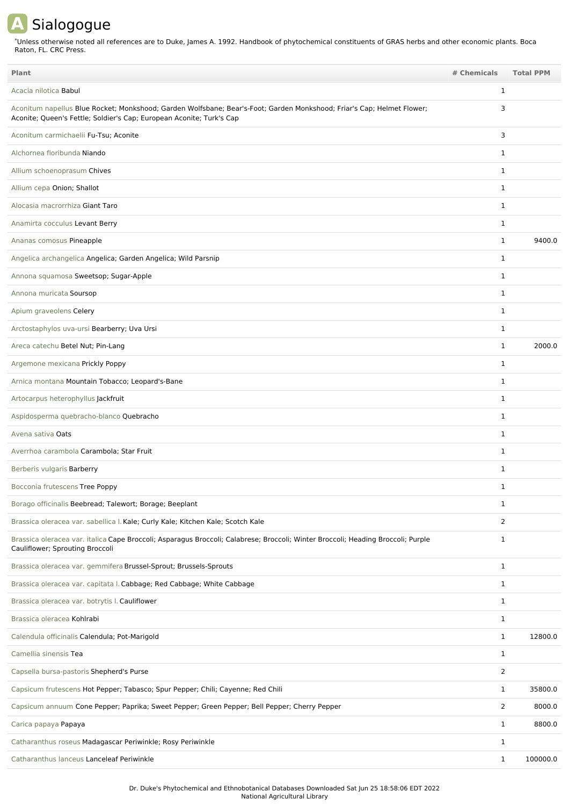## **A** Sialogogue

Unless otherwise noted all references are to Duke, James A. 1992. Handbook of phytochemical constituents of GRAS herbs and other economic plants. Boca Raton, FL. CRC Press. \*

| Plant                                                                                                                                                                                          | # Chemicals    | <b>Total PPM</b> |
|------------------------------------------------------------------------------------------------------------------------------------------------------------------------------------------------|----------------|------------------|
| Acacia nilotica <b>Babul</b>                                                                                                                                                                   | 1              |                  |
| Aconitum napellus Blue Rocket; Monkshood; Garden Wolfsbane; Bear's-Foot; Garden Monkshood; Friar's Cap; Helmet Flower;<br>Aconite; Queen's Fettle; Soldier's Cap; European Aconite; Turk's Cap | 3              |                  |
| Aconitum carmichaelii Fu-Tsu; Aconite                                                                                                                                                          | 3              |                  |
| Alchornea floribunda Niando                                                                                                                                                                    | $\mathbf{1}$   |                  |
| Allium schoenoprasum Chives                                                                                                                                                                    | $\mathbf{1}$   |                  |
| Allium cepa Onion; Shallot                                                                                                                                                                     | $\mathbf{1}$   |                  |
| Alocasia macrorrhiza Giant Taro                                                                                                                                                                | $\mathbf{1}$   |                  |
| Anamirta cocculus Levant Berry                                                                                                                                                                 | $\mathbf{1}$   |                  |
| Ananas comosus Pineapple                                                                                                                                                                       | $\mathbf{1}$   | 9400.0           |
| Angelica archangelica Angelica; Garden Angelica; Wild Parsnip                                                                                                                                  | $\mathbf{1}$   |                  |
| Annona squamosa Sweetsop; Sugar-Apple                                                                                                                                                          | $\mathbf{1}$   |                  |
| Annona muricata Soursop                                                                                                                                                                        | $\mathbf{1}$   |                  |
| Apium graveolens Celery                                                                                                                                                                        | 1              |                  |
| Arctostaphylos uva-ursi Bearberry; Uva Ursi                                                                                                                                                    | $\mathbf{1}$   |                  |
| Areca catechu Betel Nut; Pin-Lang                                                                                                                                                              | $\mathbf{1}$   | 2000.0           |
| Argemone mexicana Prickly Poppy                                                                                                                                                                | $\mathbf{1}$   |                  |
| Arnica montana Mountain Tobacco; Leopard's-Bane                                                                                                                                                | 1              |                  |
| Artocarpus heterophyllus Jackfruit                                                                                                                                                             | 1              |                  |
| Aspidosperma quebracho-blanco Quebracho                                                                                                                                                        | $\mathbf{1}$   |                  |
| Avena sativa Oats                                                                                                                                                                              | $\mathbf{1}$   |                  |
| Averrhoa carambola Carambola; Star Fruit                                                                                                                                                       | $\mathbf{1}$   |                  |
| Berberis vulgaris Barberry                                                                                                                                                                     | $\mathbf{1}$   |                  |
| Bocconia frutescens Tree Poppy                                                                                                                                                                 | 1              |                  |
| Borago officinalis Beebread; Talewort; Borage; Beeplant                                                                                                                                        | $\mathbf{1}$   |                  |
| Brassica oleracea var. sabellica I. Kale; Curly Kale; Kitchen Kale; Scotch Kale                                                                                                                | $\overline{2}$ |                  |
| Brassica oleracea var. italica Cape Broccoli; Asparagus Broccoli; Calabrese; Broccoli; Winter Broccoli; Heading Broccoli; Purple<br>Cauliflower; Sprouting Broccoli                            | $\mathbf{1}$   |                  |
| Brassica oleracea var. gemmifera Brussel-Sprout; Brussels-Sprouts                                                                                                                              | $\mathbf{1}$   |                  |
| Brassica oleracea var. capitata I. Cabbage; Red Cabbage; White Cabbage                                                                                                                         | 1              |                  |
| Brassica oleracea var. botrytis I. Cauliflower                                                                                                                                                 | $\mathbf{1}$   |                  |
| Brassica oleracea Kohlrabi                                                                                                                                                                     | $\mathbf{1}$   |                  |
| Calendula officinalis Calendula; Pot-Marigold                                                                                                                                                  | $\mathbf{1}$   | 12800.0          |
| Camellia sinensis Tea                                                                                                                                                                          | $\mathbf{1}$   |                  |
| Capsella bursa-pastoris Shepherd's Purse                                                                                                                                                       | $\overline{2}$ |                  |
| Capsicum frutescens Hot Pepper; Tabasco; Spur Pepper; Chili; Cayenne; Red Chili                                                                                                                | $\mathbf{1}$   | 35800.0          |
| Capsicum annuum Cone Pepper; Paprika; Sweet Pepper; Green Pepper; Bell Pepper; Cherry Pepper                                                                                                   | $\overline{2}$ | 8000.0           |
| Carica papaya Papaya                                                                                                                                                                           | $\mathbf{1}$   | 8800.0           |
| Catharanthus roseus Madagascar Periwinkle; Rosy Periwinkle                                                                                                                                     | $\mathbf{1}$   |                  |
| Catharanthus lanceus Lanceleaf Periwinkle                                                                                                                                                      | $\mathbf{1}$   | 100000.0         |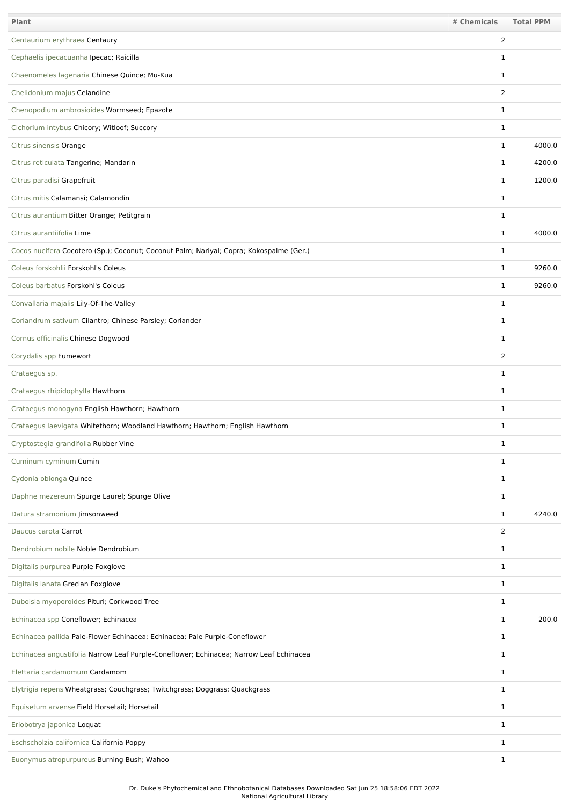| Plant                                                                                   | # Chemicals    | <b>Total PPM</b> |
|-----------------------------------------------------------------------------------------|----------------|------------------|
| Centaurium erythraea Centaury                                                           | 2              |                  |
| Cephaelis ipecacuanha Ipecac; Raicilla                                                  | 1              |                  |
| Chaenomeles lagenaria Chinese Quince; Mu-Kua                                            | $\mathbf{1}$   |                  |
| Chelidonium majus Celandine                                                             | $\overline{2}$ |                  |
| Chenopodium ambrosioides Wormseed; Epazote                                              | $\mathbf{1}$   |                  |
| Cichorium intybus Chicory; Witloof; Succory                                             | $\mathbf 1$    |                  |
| Citrus sinensis Orange                                                                  | $\mathbf{1}$   | 4000.0           |
| Citrus reticulata Tangerine; Mandarin                                                   | $\mathbf{1}$   | 4200.0           |
| Citrus paradisi Grapefruit                                                              | $\mathbf{1}$   | 1200.0           |
| Citrus mitis Calamansi; Calamondin                                                      | $\mathbf 1$    |                  |
| Citrus aurantium Bitter Orange; Petitgrain                                              | $\mathbf{1}$   |                  |
| Citrus aurantiifolia Lime                                                               | $\mathbf{1}$   | 4000.0           |
| Cocos nucifera Cocotero (Sp.); Coconut; Coconut Palm; Nariyal; Copra; Kokospalme (Ger.) | $\mathbf 1$    |                  |
| Coleus forskohlii Forskohl's Coleus                                                     | $\mathbf{1}$   | 9260.0           |
| Coleus barbatus Forskohl's Coleus                                                       | $\mathbf{1}$   | 9260.0           |
| Convallaria majalis Lily-Of-The-Valley                                                  | $\mathbf 1$    |                  |
| Coriandrum sativum Cilantro; Chinese Parsley; Coriander                                 | $\mathbf{1}$   |                  |
| Cornus officinalis Chinese Dogwood                                                      | $\mathbf{1}$   |                  |
| Corydalis spp Fumewort                                                                  | 2              |                  |
| Crataegus sp.                                                                           | $\mathbf{1}$   |                  |
| Crataegus rhipidophylla Hawthorn                                                        | $\mathbf{1}$   |                  |
| Crataegus monogyna English Hawthorn; Hawthorn                                           | $\mathbf{1}$   |                  |
| Crataegus laevigata Whitethorn; Woodland Hawthorn; Hawthorn; English Hawthorn           | $\mathbf 1$    |                  |
| Cryptostegia grandifolia Rubber Vine                                                    | 1              |                  |
| Cuminum cyminum Cumin                                                                   | $\mathbf{1}$   |                  |
| Cydonia oblonga Quince                                                                  | $\mathbf{1}$   |                  |
| Daphne mezereum Spurge Laurel; Spurge Olive                                             | $\mathbf{1}$   |                  |
| Datura stramonium Jimsonweed                                                            | $\mathbf{1}$   | 4240.0           |
| Daucus carota Carrot                                                                    | $\overline{2}$ |                  |
| Dendrobium nobile Noble Dendrobium                                                      | $\mathbf{1}$   |                  |
| Digitalis purpurea Purple Foxglove                                                      | $\mathbf{1}$   |                  |
| Digitalis lanata Grecian Foxglove                                                       | $\mathbf{1}$   |                  |
| Duboisia myoporoides Pituri; Corkwood Tree                                              | $\mathbf{1}$   |                  |
| Echinacea spp Coneflower; Echinacea                                                     | $\mathbf{1}$   | 200.0            |
| Echinacea pallida Pale-Flower Echinacea; Echinacea; Pale Purple-Coneflower              | $\mathbf{1}$   |                  |
| Echinacea angustifolia Narrow Leaf Purple-Coneflower; Echinacea; Narrow Leaf Echinacea  | $\mathbf{1}$   |                  |
| Elettaria cardamomum Cardamom                                                           | $\mathbf{1}$   |                  |
| Elytrigia repens Wheatgrass; Couchgrass; Twitchgrass; Doggrass; Quackgrass              | $\mathbf{1}$   |                  |
| Equisetum arvense Field Horsetail; Horsetail                                            | $\mathbf{1}$   |                  |
| Eriobotrya japonica Loquat                                                              | $\mathbf{1}$   |                  |
| Eschscholzia californica California Poppy                                               | $\mathbf 1$    |                  |
| Euonymus atropurpureus Burning Bush; Wahoo                                              | $\mathbf{1}$   |                  |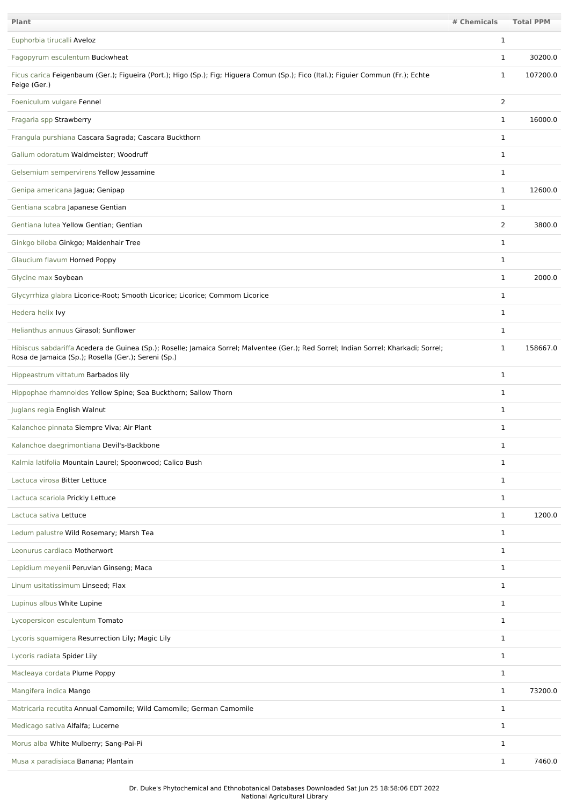| <b>Plant</b>                                                                                                                                                                                | # Chemicals    | <b>Total PPM</b> |
|---------------------------------------------------------------------------------------------------------------------------------------------------------------------------------------------|----------------|------------------|
| Euphorbia tirucalli Aveloz                                                                                                                                                                  | $\mathbf{1}$   |                  |
| Fagopyrum esculentum Buckwheat                                                                                                                                                              | $\mathbf 1$    | 30200.0          |
| Ficus carica Feigenbaum (Ger.); Figueira (Port.); Higo (Sp.); Fig; Higuera Comun (Sp.); Fico (Ital.); Figuier Commun (Fr.); Echte<br>Feige (Ger.)                                           | 1              | 107200.0         |
| Foeniculum vulgare Fennel                                                                                                                                                                   | $\overline{2}$ |                  |
| Fragaria spp Strawberry                                                                                                                                                                     | $\mathbf{1}$   | 16000.0          |
| Frangula purshiana Cascara Sagrada; Cascara Buckthorn                                                                                                                                       | $\mathbf 1$    |                  |
| Galium odoratum Waldmeister; Woodruff                                                                                                                                                       | $\mathbf{1}$   |                  |
| Gelsemium sempervirens Yellow Jessamine                                                                                                                                                     | 1              |                  |
| Genipa americana Jagua; Genipap                                                                                                                                                             | 1              | 12600.0          |
| Gentiana scabra Japanese Gentian                                                                                                                                                            | $\mathbf 1$    |                  |
| Gentiana lutea Yellow Gentian; Gentian                                                                                                                                                      | $\overline{2}$ | 3800.0           |
| Ginkgo biloba Ginkgo; Maidenhair Tree                                                                                                                                                       | $\mathbf{1}$   |                  |
| Glaucium flavum Horned Poppy                                                                                                                                                                | $\mathbf 1$    |                  |
| Glycine max Soybean                                                                                                                                                                         | $\mathbf{1}$   | 2000.0           |
| Glycyrrhiza glabra Licorice-Root; Smooth Licorice; Licorice; Commom Licorice                                                                                                                | $\mathbf 1$    |                  |
| Hedera helix Ivy                                                                                                                                                                            | $\mathbf{1}$   |                  |
| Helianthus annuus Girasol; Sunflower                                                                                                                                                        | 1              |                  |
| Hibiscus sabdariffa Acedera de Guinea (Sp.); Roselle; Jamaica Sorrel; Malventee (Ger.); Red Sorrel; Indian Sorrel; Kharkadi; Sorrel;<br>Rosa de Jamaica (Sp.); Rosella (Ger.); Sereni (Sp.) | 1              | 158667.0         |
| Hippeastrum vittatum Barbados lily                                                                                                                                                          | $\mathbf{1}$   |                  |
| Hippophae rhamnoides Yellow Spine; Sea Buckthorn; Sallow Thorn                                                                                                                              | $\mathbf 1$    |                  |
| Juglans regia English Walnut                                                                                                                                                                | $\mathbf{1}$   |                  |
| Kalanchoe pinnata Siempre Viva; Air Plant                                                                                                                                                   | $\mathbf 1$    |                  |
| Kalanchoe daegrimontiana Devil's-Backbone                                                                                                                                                   | 1              |                  |
| Kalmia latifolia Mountain Laurel; Spoonwood; Calico Bush                                                                                                                                    | $\mathbf{1}$   |                  |
| Lactuca virosa Bitter Lettuce                                                                                                                                                               | $\mathbf{1}$   |                  |
| Lactuca scariola Prickly Lettuce                                                                                                                                                            | $\mathbf{1}$   |                  |
| Lactuca sativa Lettuce                                                                                                                                                                      | $\mathbf{1}$   | 1200.0           |
| Ledum palustre Wild Rosemary; Marsh Tea                                                                                                                                                     | $\mathbf{1}$   |                  |
| Leonurus cardiaca Motherwort                                                                                                                                                                | $\mathbf{1}$   |                  |
| Lepidium meyenii Peruvian Ginseng; Maca                                                                                                                                                     | $\mathbf{1}$   |                  |
| Linum usitatissimum Linseed; Flax                                                                                                                                                           | $\mathbf{1}$   |                  |
| Lupinus albus White Lupine                                                                                                                                                                  | $\mathbf 1$    |                  |
| Lycopersicon esculentum Tomato                                                                                                                                                              | $\mathbf{1}$   |                  |
| Lycoris squamigera Resurrection Lily; Magic Lily                                                                                                                                            | $\mathbf 1$    |                  |
| Lycoris radiata Spider Lily                                                                                                                                                                 | $\mathbf{1}$   |                  |
| Macleaya cordata Plume Poppy                                                                                                                                                                | $\mathbf{1}$   |                  |
| Mangifera indica Mango                                                                                                                                                                      | $\mathbf{1}$   | 73200.0          |
| Matricaria recutita Annual Camomile; Wild Camomile; German Camomile                                                                                                                         | $\mathbf{1}$   |                  |
| Medicago sativa Alfalfa; Lucerne                                                                                                                                                            | $\mathbf{1}$   |                  |
| Morus alba White Mulberry; Sang-Pai-Pi                                                                                                                                                      | $\mathbf{1}$   |                  |
| Musa x paradisiaca Banana; Plantain                                                                                                                                                         | $\mathbf{1}$   | 7460.0           |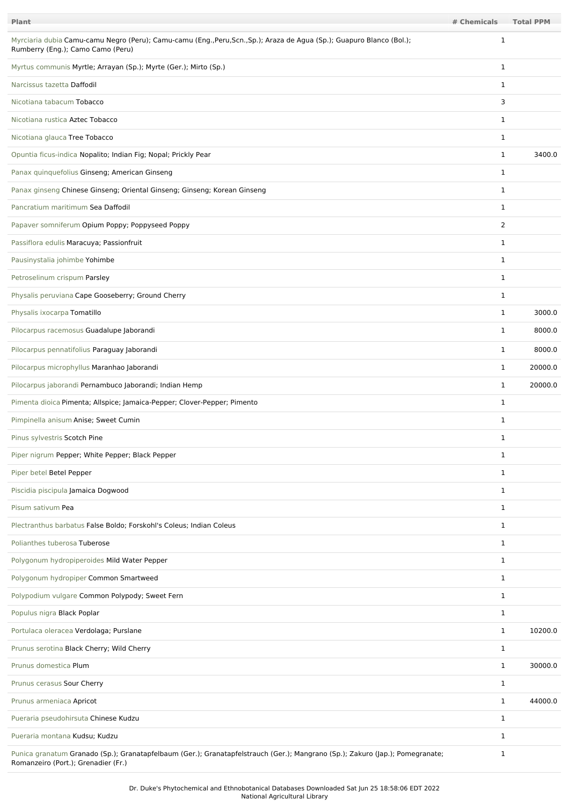| <b>Plant</b>                                                                                                                                                         | # Chemicals    | <b>Total PPM</b> |
|----------------------------------------------------------------------------------------------------------------------------------------------------------------------|----------------|------------------|
| Myrciaria dubia Camu-camu Negro (Peru); Camu-camu (Eng.,Peru,Scn.,Sp.); Araza de Agua (Sp.); Guapuro Blanco (Bol.);<br>Rumberry (Eng.); Camo Camo (Peru)             | 1              |                  |
| Myrtus communis Myrtle; Arrayan (Sp.); Myrte (Ger.); Mirto (Sp.)                                                                                                     | $\mathbf 1$    |                  |
| Narcissus tazetta Daffodil                                                                                                                                           | $\mathbf 1$    |                  |
| Nicotiana tabacum Tobacco                                                                                                                                            | 3              |                  |
| Nicotiana rustica Aztec Tobacco                                                                                                                                      | 1              |                  |
| Nicotiana glauca Tree Tobacco                                                                                                                                        | 1              |                  |
| Opuntia ficus-indica Nopalito; Indian Fig; Nopal; Prickly Pear                                                                                                       | $\mathbf 1$    | 3400.0           |
| Panax quinquefolius Ginseng; American Ginseng                                                                                                                        | 1              |                  |
| Panax ginseng Chinese Ginseng; Oriental Ginseng; Ginseng; Korean Ginseng                                                                                             | $\mathbf 1$    |                  |
| Pancratium maritimum Sea Daffodil                                                                                                                                    | $\mathbf 1$    |                  |
| Papaver somniferum Opium Poppy; Poppyseed Poppy                                                                                                                      | $\overline{2}$ |                  |
| Passiflora edulis Maracuya; Passionfruit                                                                                                                             | 1              |                  |
| Pausinystalia johimbe Yohimbe                                                                                                                                        | $\mathbf 1$    |                  |
| Petroselinum crispum Parsley                                                                                                                                         | 1              |                  |
| Physalis peruviana Cape Gooseberry; Ground Cherry                                                                                                                    | 1              |                  |
| Physalis ixocarpa Tomatillo                                                                                                                                          | $\mathbf{1}$   | 3000.0           |
| Pilocarpus racemosus Guadalupe Jaborandi                                                                                                                             | $\mathbf{1}$   | 8000.0           |
| Pilocarpus pennatifolius Paraguay Jaborandi                                                                                                                          | $\mathbf 1$    | 8000.0           |
| Pilocarpus microphyllus Maranhao Jaborandi                                                                                                                           | 1              | 20000.0          |
| Pilocarpus jaborandi Pernambuco Jaborandi; Indian Hemp                                                                                                               | $\mathbf 1$    | 20000.0          |
| Pimenta dioica Pimenta; Allspice; Jamaica-Pepper; Clover-Pepper; Pimento                                                                                             | $\mathbf 1$    |                  |
| Pimpinella anisum Anise; Sweet Cumin                                                                                                                                 | $\mathbf 1$    |                  |
| Pinus sylvestris Scotch Pine                                                                                                                                         | 1              |                  |
| Piper nigrum Pepper; White Pepper; Black Pepper                                                                                                                      | $\mathbf 1$    |                  |
| Piper betel Betel Pepper                                                                                                                                             | $\mathbf 1$    |                  |
| Piscidia piscipula Jamaica Dogwood                                                                                                                                   | $\mathbf{1}$   |                  |
| Pisum sativum Pea                                                                                                                                                    | $\mathbf 1$    |                  |
| Plectranthus barbatus False Boldo; Forskohl's Coleus; Indian Coleus                                                                                                  | $\mathbf{1}$   |                  |
| Polianthes tuberosa Tuberose                                                                                                                                         | $\mathbf 1$    |                  |
| Polygonum hydropiperoides Mild Water Pepper                                                                                                                          | $\mathbf{1}$   |                  |
| Polygonum hydropiper Common Smartweed                                                                                                                                | $\mathbf 1$    |                  |
| Polypodium vulgare Common Polypody; Sweet Fern                                                                                                                       | $\mathbf{1}$   |                  |
| Populus nigra Black Poplar                                                                                                                                           | 1              |                  |
| Portulaca oleracea Verdolaga; Purslane                                                                                                                               | $\mathbf{1}$   | 10200.0          |
| Prunus serotina Black Cherry; Wild Cherry                                                                                                                            | 1              |                  |
| Prunus domestica Plum                                                                                                                                                | $\mathbf 1$    | 30000.0          |
| Prunus cerasus Sour Cherry                                                                                                                                           | 1              |                  |
| Prunus armeniaca Apricot                                                                                                                                             | $\mathbf{1}$   | 44000.0          |
| Pueraria pseudohirsuta Chinese Kudzu                                                                                                                                 | $\mathbf 1$    |                  |
| Pueraria montana Kudsu; Kudzu                                                                                                                                        | 1              |                  |
| Punica granatum Granado (Sp.); Granatapfelbaum (Ger.); Granatapfelstrauch (Ger.); Mangrano (Sp.); Zakuro (Jap.); Pomegranate;<br>Romanzeiro (Port.); Grenadier (Fr.) | $\mathbf{1}$   |                  |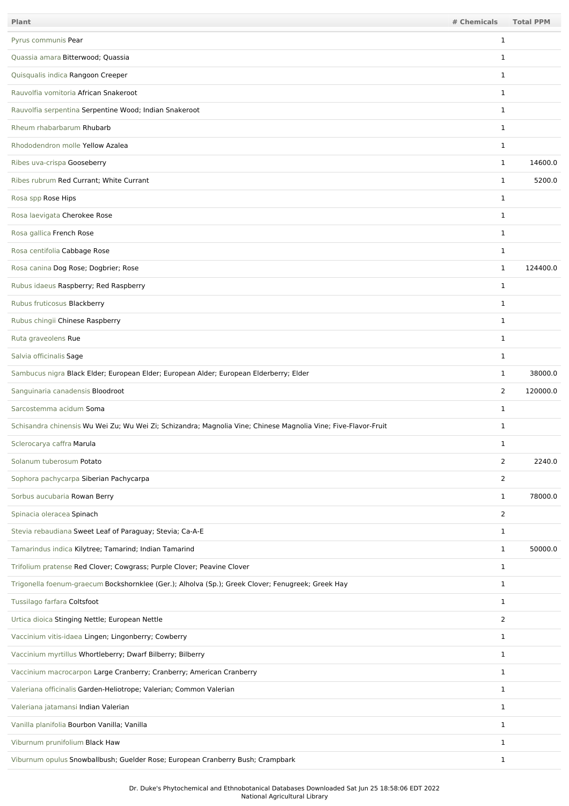| Plant                                                                                                          | # Chemicals    | <b>Total PPM</b> |
|----------------------------------------------------------------------------------------------------------------|----------------|------------------|
| Pyrus communis Pear                                                                                            | 1              |                  |
| Quassia amara Bitterwood; Quassia                                                                              | 1              |                  |
| Quisqualis indica Rangoon Creeper                                                                              | $\mathbf 1$    |                  |
| Rauvolfia vomitoria African Snakeroot                                                                          | $\mathbf 1$    |                  |
| Rauvolfia serpentina Serpentine Wood; Indian Snakeroot                                                         | 1              |                  |
| Rheum rhabarbarum Rhubarb                                                                                      | $\mathbf{1}$   |                  |
| Rhododendron molle Yellow Azalea                                                                               | $\mathbf 1$    |                  |
| Ribes uva-crispa Gooseberry                                                                                    | $\mathbf{1}$   | 14600.0          |
| Ribes rubrum Red Currant; White Currant                                                                        | 1              | 5200.0           |
| Rosa spp Rose Hips                                                                                             | 1              |                  |
| Rosa laevigata Cherokee Rose                                                                                   | $\mathbf 1$    |                  |
| Rosa gallica French Rose                                                                                       | $\mathbf{1}$   |                  |
| Rosa centifolia Cabbage Rose                                                                                   | $\mathbf 1$    |                  |
| Rosa canina Dog Rose; Dogbrier; Rose                                                                           | $\mathbf{1}$   | 124400.0         |
| Rubus idaeus Raspberry; Red Raspberry                                                                          | $\mathbf{1}$   |                  |
| Rubus fruticosus Blackberry                                                                                    | $\mathbf{1}$   |                  |
| Rubus chingii Chinese Raspberry                                                                                | 1              |                  |
| Ruta graveolens Rue                                                                                            | $\mathbf{1}$   |                  |
| Salvia officinalis Sage                                                                                        | $\mathbf{1}$   |                  |
| Sambucus nigra Black Elder; European Elder; European Alder; European Elderberry; Elder                         | $\mathbf{1}$   | 38000.0          |
| Sanguinaria canadensis Bloodroot                                                                               | $\overline{2}$ | 120000.0         |
| Sarcostemma acidum Soma                                                                                        | 1              |                  |
| Schisandra chinensis Wu Wei Zu; Wu Wei Zi; Schizandra; Magnolia Vine; Chinese Magnolia Vine; Five-Flavor-Fruit | 1              |                  |
| Sclerocarya caffra Marula                                                                                      | 1              |                  |
| Solanum tuberosum Potato                                                                                       | $\overline{2}$ | 2240.0           |
| Sophora pachycarpa Siberian Pachycarpa                                                                         | $\overline{2}$ |                  |
| Sorbus aucubaria Rowan Berry                                                                                   | $\mathbf{1}$   | 78000.0          |
| Spinacia oleracea Spinach                                                                                      | $\overline{2}$ |                  |
| Stevia rebaudiana Sweet Leaf of Paraguay; Stevia; Ca-A-E                                                       | $\mathbf{1}$   |                  |
| Tamarindus indica Kilytree; Tamarind; Indian Tamarind                                                          | $\mathbf{1}$   | 50000.0          |
| Trifolium pratense Red Clover; Cowgrass; Purple Clover; Peavine Clover                                         | $\mathbf{1}$   |                  |
| Trigonella foenum-graecum Bockshornklee (Ger.); Alholva (Sp.); Greek Clover; Fenugreek; Greek Hay              | $\mathbf{1}$   |                  |
| Tussilago farfara Coltsfoot                                                                                    | $\mathbf{1}$   |                  |
| Urtica dioica Stinging Nettle; European Nettle                                                                 | $\overline{2}$ |                  |
| Vaccinium vitis-idaea Lingen; Lingonberry; Cowberry                                                            | $\mathbf{1}$   |                  |
| Vaccinium myrtillus Whortleberry; Dwarf Bilberry; Bilberry                                                     | $\mathbf{1}$   |                  |
| Vaccinium macrocarpon Large Cranberry; Cranberry; American Cranberry                                           | $\mathbf{1}$   |                  |
| Valeriana officinalis Garden-Heliotrope; Valerian; Common Valerian                                             | $\mathbf{1}$   |                  |
| Valeriana jatamansi Indian Valerian                                                                            | $\mathbf{1}$   |                  |
| Vanilla planifolia Bourbon Vanilla; Vanilla                                                                    | $\mathbf{1}$   |                  |
| Viburnum prunifolium Black Haw                                                                                 | $\mathbf{1}$   |                  |
| Viburnum opulus Snowballbush; Guelder Rose; European Cranberry Bush; Crampbark                                 | $\mathbf{1}$   |                  |